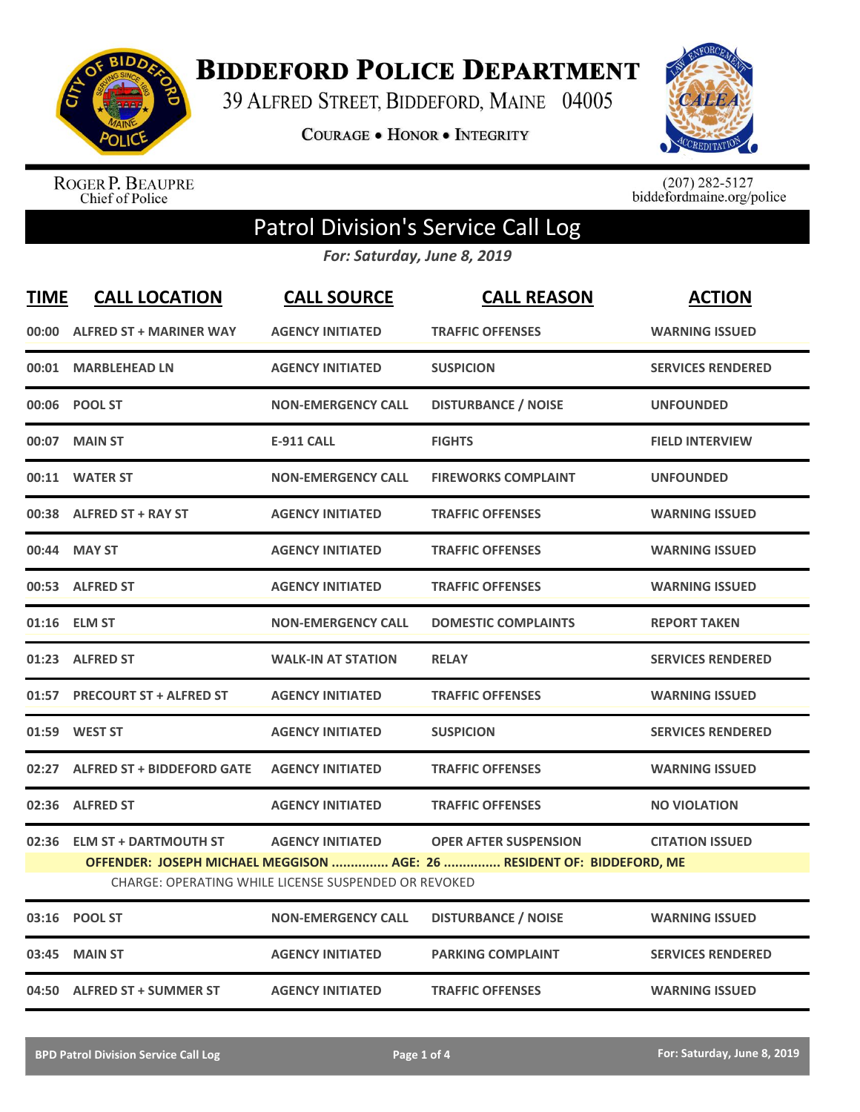

**BIDDEFORD POLICE DEPARTMENT** 

39 ALFRED STREET, BIDDEFORD, MAINE 04005

**COURAGE . HONOR . INTEGRITY** 



ROGER P. BEAUPRE<br>Chief of Police

 $(207)$  282-5127<br>biddefordmaine.org/police

## Patrol Division's Service Call Log

*For: Saturday, June 8, 2019*

| <b>TIME</b> | <b>CALL LOCATION</b>              | <b>CALL SOURCE</b>                                                              | <b>CALL REASON</b>                                                                                     | <b>ACTION</b>            |
|-------------|-----------------------------------|---------------------------------------------------------------------------------|--------------------------------------------------------------------------------------------------------|--------------------------|
|             | 00:00 ALFRED ST + MARINER WAY     | <b>AGENCY INITIATED</b>                                                         | <b>TRAFFIC OFFENSES</b>                                                                                | <b>WARNING ISSUED</b>    |
|             | 00:01 MARBLEHEAD LN               | <b>AGENCY INITIATED</b>                                                         | <b>SUSPICION</b>                                                                                       | <b>SERVICES RENDERED</b> |
|             | 00:06 POOL ST                     | <b>NON-EMERGENCY CALL</b>                                                       | <b>DISTURBANCE / NOISE</b>                                                                             | <b>UNFOUNDED</b>         |
|             | 00:07 MAIN ST                     | <b>E-911 CALL</b>                                                               | <b>FIGHTS</b>                                                                                          | <b>FIELD INTERVIEW</b>   |
|             | 00:11 WATER ST                    | <b>NON-EMERGENCY CALL</b>                                                       | <b>FIREWORKS COMPLAINT</b>                                                                             | <b>UNFOUNDED</b>         |
|             | 00:38 ALFRED ST + RAY ST          | <b>AGENCY INITIATED</b>                                                         | <b>TRAFFIC OFFENSES</b>                                                                                | <b>WARNING ISSUED</b>    |
|             | 00:44 MAY ST                      | <b>AGENCY INITIATED</b>                                                         | <b>TRAFFIC OFFENSES</b>                                                                                | <b>WARNING ISSUED</b>    |
|             | 00:53 ALFRED ST                   | <b>AGENCY INITIATED</b>                                                         | <b>TRAFFIC OFFENSES</b>                                                                                | <b>WARNING ISSUED</b>    |
|             | 01:16 ELM ST                      | <b>NON-EMERGENCY CALL</b>                                                       | <b>DOMESTIC COMPLAINTS</b>                                                                             | <b>REPORT TAKEN</b>      |
|             | 01:23 ALFRED ST                   | <b>WALK-IN AT STATION</b>                                                       | <b>RELAY</b>                                                                                           | <b>SERVICES RENDERED</b> |
|             | 01:57 PRECOURT ST + ALFRED ST     | <b>AGENCY INITIATED</b>                                                         | <b>TRAFFIC OFFENSES</b>                                                                                | <b>WARNING ISSUED</b>    |
| 01:59       | <b>WEST ST</b>                    | <b>AGENCY INITIATED</b>                                                         | <b>SUSPICION</b>                                                                                       | <b>SERVICES RENDERED</b> |
| 02:27       | <b>ALFRED ST + BIDDEFORD GATE</b> | <b>AGENCY INITIATED</b>                                                         | <b>TRAFFIC OFFENSES</b>                                                                                | <b>WARNING ISSUED</b>    |
| 02:36       | <b>ALFRED ST</b>                  | <b>AGENCY INITIATED</b>                                                         | <b>TRAFFIC OFFENSES</b>                                                                                | <b>NO VIOLATION</b>      |
|             | 02:36 ELM ST + DARTMOUTH ST       | <b>AGENCY INITIATED</b><br>CHARGE: OPERATING WHILE LICENSE SUSPENDED OR REVOKED | <b>OPER AFTER SUSPENSION</b><br>OFFENDER: JOSEPH MICHAEL MEGGISON  AGE: 26  RESIDENT OF: BIDDEFORD, ME | <b>CITATION ISSUED</b>   |
|             | 03:16 POOL ST                     | <b>NON-EMERGENCY CALL</b>                                                       | <b>DISTURBANCE / NOISE</b>                                                                             | <b>WARNING ISSUED</b>    |
| 03:45       | <b>MAIN ST</b>                    | <b>AGENCY INITIATED</b>                                                         | <b>PARKING COMPLAINT</b>                                                                               | <b>SERVICES RENDERED</b> |
|             | 04:50 ALFRED ST + SUMMER ST       | <b>AGENCY INITIATED</b>                                                         | <b>TRAFFIC OFFENSES</b>                                                                                | <b>WARNING ISSUED</b>    |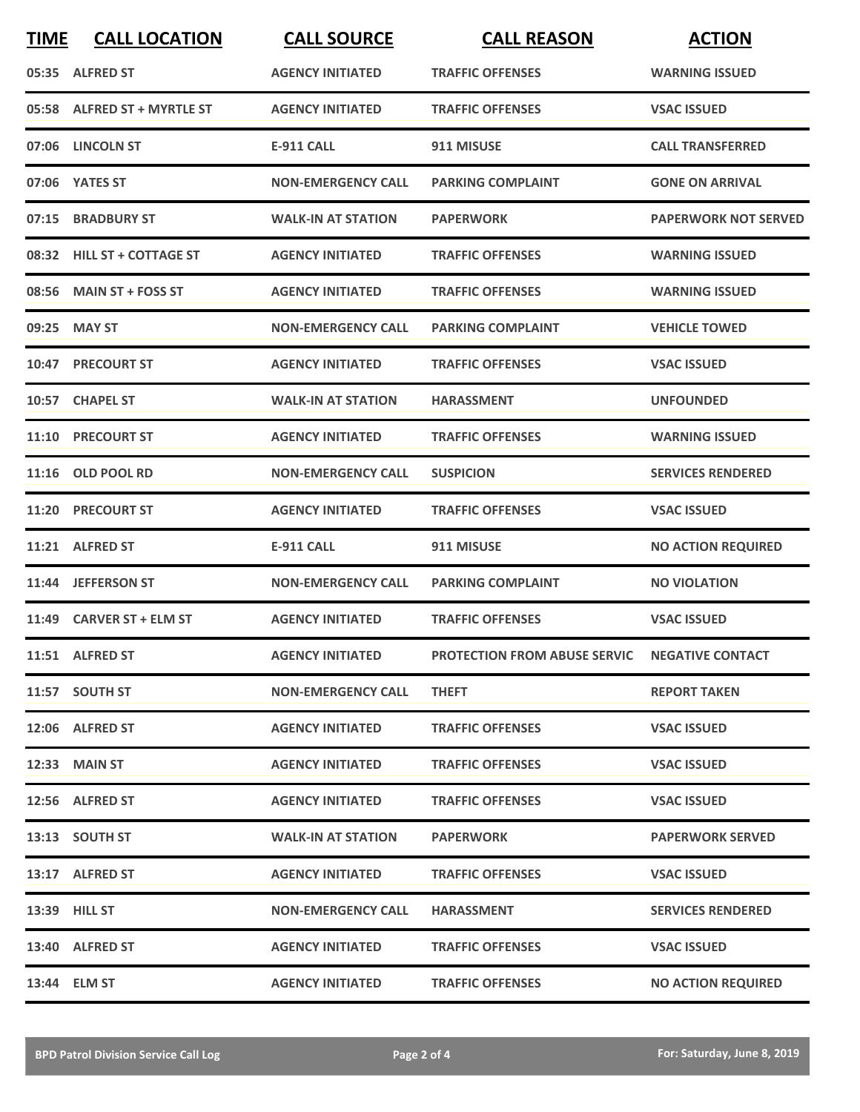| <b>TIME</b> | <b>CALL LOCATION</b>        | <b>CALL SOURCE</b>        | <b>CALL REASON</b>                            | <b>ACTION</b>               |
|-------------|-----------------------------|---------------------------|-----------------------------------------------|-----------------------------|
|             | 05:35 ALFRED ST             | <b>AGENCY INITIATED</b>   | <b>TRAFFIC OFFENSES</b>                       | <b>WARNING ISSUED</b>       |
|             | 05:58 ALFRED ST + MYRTLE ST | <b>AGENCY INITIATED</b>   | <b>TRAFFIC OFFENSES</b>                       | <b>VSAC ISSUED</b>          |
|             | 07:06 LINCOLN ST            | <b>E-911 CALL</b>         | 911 MISUSE                                    | <b>CALL TRANSFERRED</b>     |
|             | 07:06 YATES ST              | <b>NON-EMERGENCY CALL</b> | <b>PARKING COMPLAINT</b>                      | <b>GONE ON ARRIVAL</b>      |
|             | 07:15 BRADBURY ST           | <b>WALK-IN AT STATION</b> | <b>PAPERWORK</b>                              | <b>PAPERWORK NOT SERVED</b> |
|             | 08:32 HILL ST + COTTAGE ST  | <b>AGENCY INITIATED</b>   | <b>TRAFFIC OFFENSES</b>                       | <b>WARNING ISSUED</b>       |
|             | 08:56 MAIN ST + FOSS ST     | <b>AGENCY INITIATED</b>   | <b>TRAFFIC OFFENSES</b>                       | <b>WARNING ISSUED</b>       |
|             | 09:25 MAY ST                | <b>NON-EMERGENCY CALL</b> | <b>PARKING COMPLAINT</b>                      | <b>VEHICLE TOWED</b>        |
|             | <b>10:47 PRECOURT ST</b>    | <b>AGENCY INITIATED</b>   | <b>TRAFFIC OFFENSES</b>                       | <b>VSAC ISSUED</b>          |
|             | 10:57 CHAPEL ST             | <b>WALK-IN AT STATION</b> | <b>HARASSMENT</b>                             | <b>UNFOUNDED</b>            |
|             | 11:10 PRECOURT ST           | <b>AGENCY INITIATED</b>   | <b>TRAFFIC OFFENSES</b>                       | <b>WARNING ISSUED</b>       |
|             | 11:16 OLD POOL RD           | <b>NON-EMERGENCY CALL</b> | <b>SUSPICION</b>                              | <b>SERVICES RENDERED</b>    |
| 11:20       | <b>PRECOURT ST</b>          | <b>AGENCY INITIATED</b>   | <b>TRAFFIC OFFENSES</b>                       | <b>VSAC ISSUED</b>          |
|             | 11:21 ALFRED ST             | <b>E-911 CALL</b>         | 911 MISUSE                                    | <b>NO ACTION REQUIRED</b>   |
|             | 11:44 JEFFERSON ST          | <b>NON-EMERGENCY CALL</b> | <b>PARKING COMPLAINT</b>                      | <b>NO VIOLATION</b>         |
|             | 11:49 CARVER ST + ELM ST    | <b>AGENCY INITIATED</b>   | <b>TRAFFIC OFFENSES</b>                       | <b>VSAC ISSUED</b>          |
|             | 11:51 ALFRED ST             | <b>AGENCY INITIATED</b>   | PROTECTION FROM ABUSE SERVIC NEGATIVE CONTACT |                             |
|             | 11:57 SOUTH ST              | <b>NON-EMERGENCY CALL</b> | <b>THEFT</b>                                  | <b>REPORT TAKEN</b>         |
|             | 12:06 ALFRED ST             | <b>AGENCY INITIATED</b>   | <b>TRAFFIC OFFENSES</b>                       | <b>VSAC ISSUED</b>          |
|             | 12:33 MAIN ST               | <b>AGENCY INITIATED</b>   | <b>TRAFFIC OFFENSES</b>                       | <b>VSAC ISSUED</b>          |
|             | 12:56 ALFRED ST             | <b>AGENCY INITIATED</b>   | <b>TRAFFIC OFFENSES</b>                       | <b>VSAC ISSUED</b>          |
|             | 13:13 SOUTH ST              | <b>WALK-IN AT STATION</b> | <b>PAPERWORK</b>                              | <b>PAPERWORK SERVED</b>     |
|             | 13:17 ALFRED ST             | <b>AGENCY INITIATED</b>   | <b>TRAFFIC OFFENSES</b>                       | <b>VSAC ISSUED</b>          |
|             | 13:39 HILL ST               | <b>NON-EMERGENCY CALL</b> | <b>HARASSMENT</b>                             | <b>SERVICES RENDERED</b>    |
|             | 13:40 ALFRED ST             | <b>AGENCY INITIATED</b>   | <b>TRAFFIC OFFENSES</b>                       | <b>VSAC ISSUED</b>          |
|             | 13:44 ELM ST                | <b>AGENCY INITIATED</b>   | <b>TRAFFIC OFFENSES</b>                       | <b>NO ACTION REQUIRED</b>   |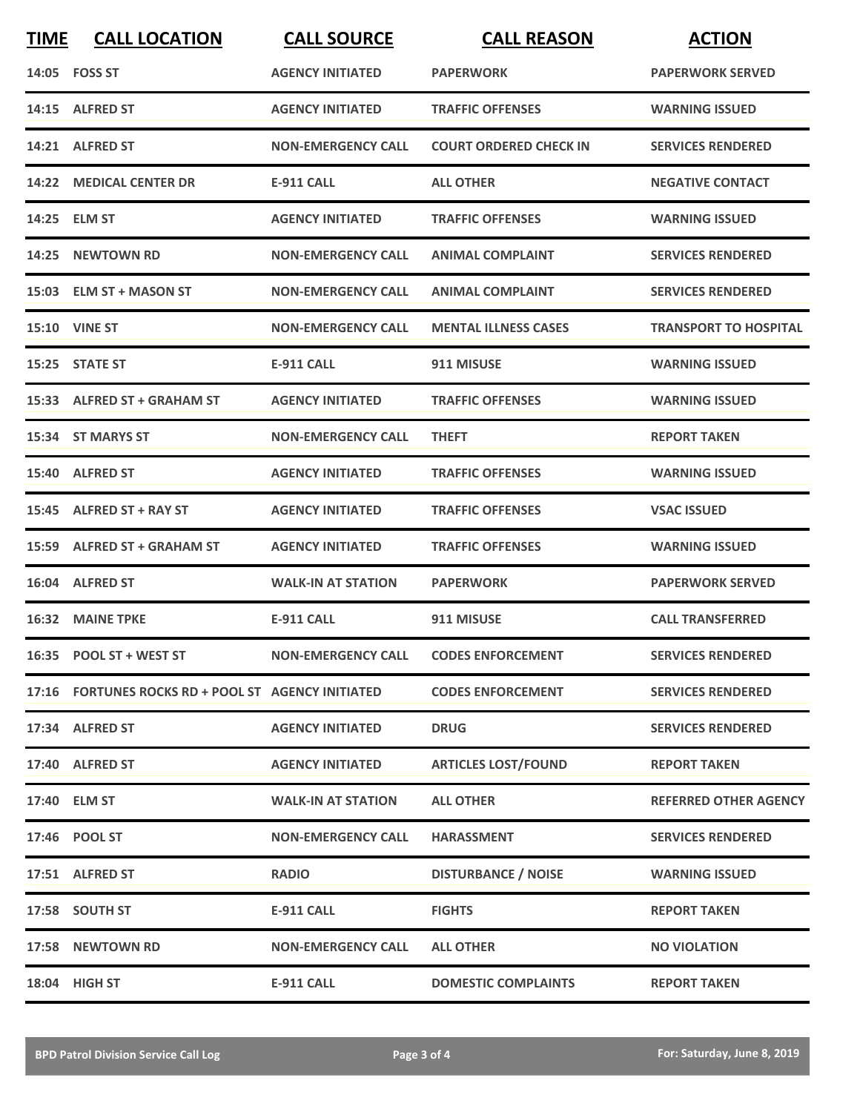| <b>TIME</b> | <b>CALL LOCATION</b>                               | <b>CALL SOURCE</b>                   | <b>CALL REASON</b>            | <b>ACTION</b>                |
|-------------|----------------------------------------------------|--------------------------------------|-------------------------------|------------------------------|
|             | 14:05 FOSS ST                                      | <b>AGENCY INITIATED</b>              | <b>PAPERWORK</b>              | <b>PAPERWORK SERVED</b>      |
|             | 14:15 ALFRED ST                                    | <b>AGENCY INITIATED</b>              | <b>TRAFFIC OFFENSES</b>       | <b>WARNING ISSUED</b>        |
|             | 14:21 ALFRED ST                                    | <b>NON-EMERGENCY CALL</b>            | <b>COURT ORDERED CHECK IN</b> | <b>SERVICES RENDERED</b>     |
|             | 14:22 MEDICAL CENTER DR                            | <b>E-911 CALL</b>                    | <b>ALL OTHER</b>              | <b>NEGATIVE CONTACT</b>      |
|             | 14:25 ELM ST                                       | <b>AGENCY INITIATED</b>              | <b>TRAFFIC OFFENSES</b>       | <b>WARNING ISSUED</b>        |
|             | 14:25 NEWTOWN RD                                   | <b>NON-EMERGENCY CALL</b>            | <b>ANIMAL COMPLAINT</b>       | <b>SERVICES RENDERED</b>     |
|             | 15:03 ELM ST + MASON ST                            | <b>NON-EMERGENCY CALL</b>            | <b>ANIMAL COMPLAINT</b>       | <b>SERVICES RENDERED</b>     |
|             | <b>15:10 VINE ST</b>                               | <b>NON-EMERGENCY CALL</b>            | <b>MENTAL ILLNESS CASES</b>   | <b>TRANSPORT TO HOSPITAL</b> |
|             | 15:25 STATE ST                                     | <b>E-911 CALL</b>                    | 911 MISUSE                    | <b>WARNING ISSUED</b>        |
|             | 15:33 ALFRED ST + GRAHAM ST                        | <b>AGENCY INITIATED</b>              | <b>TRAFFIC OFFENSES</b>       | <b>WARNING ISSUED</b>        |
|             | 15:34 ST MARYS ST                                  | <b>NON-EMERGENCY CALL</b>            | <b>THEFT</b>                  | <b>REPORT TAKEN</b>          |
|             | 15:40 ALFRED ST                                    | <b>AGENCY INITIATED</b>              | <b>TRAFFIC OFFENSES</b>       | <b>WARNING ISSUED</b>        |
|             | 15:45 ALFRED ST + RAY ST                           | <b>AGENCY INITIATED</b>              | <b>TRAFFIC OFFENSES</b>       | <b>VSAC ISSUED</b>           |
|             | 15:59 ALFRED ST + GRAHAM ST                        | <b>AGENCY INITIATED</b>              | <b>TRAFFIC OFFENSES</b>       | <b>WARNING ISSUED</b>        |
|             | 16:04 ALFRED ST                                    | <b>WALK-IN AT STATION</b>            | <b>PAPERWORK</b>              | <b>PAPERWORK SERVED</b>      |
|             | <b>16:32 MAINE TPKE</b>                            | E-911 CALL                           | 911 MISUSE                    | <b>CALL TRANSFERRED</b>      |
|             | 16:35 POOL ST + WEST ST                            | NON-EMERGENCY CALL CODES ENFORCEMENT |                               | <b>SERVICES RENDERED</b>     |
|             | 17:16 FORTUNES ROCKS RD + POOL ST AGENCY INITIATED |                                      | <b>CODES ENFORCEMENT</b>      | <b>SERVICES RENDERED</b>     |
|             | 17:34 ALFRED ST                                    | <b>AGENCY INITIATED</b>              | <b>DRUG</b>                   | <b>SERVICES RENDERED</b>     |
|             | 17:40 ALFRED ST                                    | <b>AGENCY INITIATED</b>              | <b>ARTICLES LOST/FOUND</b>    | <b>REPORT TAKEN</b>          |
|             | 17:40 ELM ST                                       | <b>WALK-IN AT STATION</b>            | <b>ALL OTHER</b>              | <b>REFERRED OTHER AGENCY</b> |
|             | 17:46 POOL ST                                      | <b>NON-EMERGENCY CALL</b>            | <b>HARASSMENT</b>             | <b>SERVICES RENDERED</b>     |
|             | 17:51 ALFRED ST                                    | <b>RADIO</b>                         | <b>DISTURBANCE / NOISE</b>    | <b>WARNING ISSUED</b>        |
|             | 17:58 SOUTH ST                                     | <b>E-911 CALL</b>                    | <b>FIGHTS</b>                 | <b>REPORT TAKEN</b>          |
|             | 17:58 NEWTOWN RD                                   | <b>NON-EMERGENCY CALL</b>            | <b>ALL OTHER</b>              | <b>NO VIOLATION</b>          |
|             | 18:04 HIGH ST                                      | E-911 CALL                           | <b>DOMESTIC COMPLAINTS</b>    | <b>REPORT TAKEN</b>          |